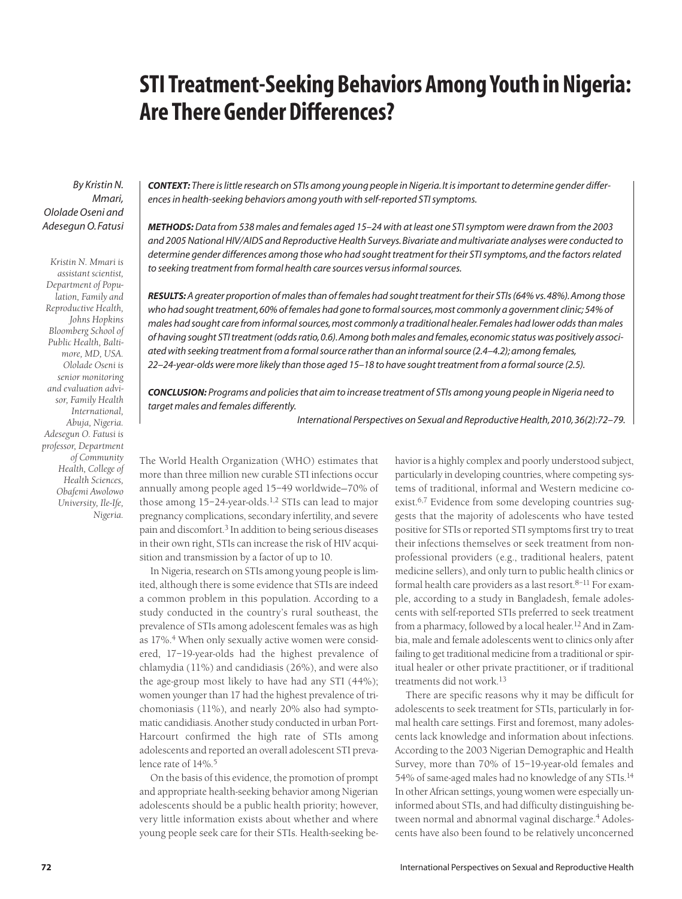# **STI Treatment-Seeking Behaviors Among Youth in Nigeria: Are There Gender Differences?**

*By Kristin N. Mmari, Ololade Oseni and Adesegun O. Fatusi*

*Kristin N. Mmari is assistant scientist, Department of Population, Family and Reproductive Health, Johns Hopkins Bloomberg School of Public Health, Baltimore, MD, USA. Ololade Oseni is senior monitoring and evaluation advisor, Family Health International, Abuja, Nigeria. Adesegun O. Fatusi is professor, Department of Community Health, College of Health Sciences, Obafemi Awolowo University, Ile-Ife, Nigeria.*

*CONTEXT: There is little research on STIs among young people in Nigeria. It is important to determine gender differences in health-seeking behaviors among youth with self-reported STI symptoms.*

*METHODS:Data from 538 males and females aged 15–24 with at least one STI symptom were drawn from the 2003 and 2005 National HIV/AIDS and Reproductive Health Surveys. Bivariate and multivariate analyses were conducted to determine gender differences among those who had sought treatment for their STI symptoms, and the factors related to seeking treatment from formal health care sources versus informal sources.*

*RESULTS: A greater proportion of males than of females had sought treatment for their STIs (64% vs.48%).Among those who had sought treatment,60% of females had gone to formal sources,most commonly a government clinic; 54% of males had sought care from informal sources,most commonly a traditional healer.Females had lower odds than males of having sought STI treatment (odds ratio,0.6).Among both males and females,economic status was positively associated with seeking treatment from a formal source rather than an informal source (2.4–4.2); among females, 22–24-year-olds were more likely than those aged 15–18 to have sought treatment from a formal source (2.5).*

*CONCLUSION: Programs and policies that aim to increase treatment of STIs among young people in Nigeria need to target males and females differently.*

*International Perspectives on Sexual and Reproductive Health, 2010, 36(2):72–79.*

The World Health Organization (WHO) estimates that more than three million new curable STI infections occur annually among people aged 15–49 worldwide—70% of those among  $15-24$ -year-olds.<sup>1,2</sup> STIs can lead to major pregnancy complications, secondary infertility, and severe pain and discomfort.3 In addition to being serious diseases in their own right, STIs can increase the risk of HIV acquisition and transmission by a factor of up to 10.

In Nigeria, research on STIs among young people is limited, although there is some evidence that STIs are indeed a common problem in this population. According to a study conducted in the country's rural southeast, the prevalence of STIs among adolescent females was as high as 17%.<sup>4</sup> When only sexually active women were considered, 17–19-year-olds had the highest prevalence of chlamydia (11%) and candidiasis (26%), and were also the age-group most likely to have had any STI (44%); women younger than 17 had the highest prevalence of trichomoniasis (11%), and nearly 20% also had symptomatic candidiasis. Another study conducted in urban Port-Harcourt confirmed the high rate of STIs among adolescents and reported an overall adolescent STI prevalence rate of 14%.<sup>5</sup>

On the basis of this evidence, the promotion of prompt and appropriate health-seeking behavior among Nigerian adolescents should be a public health priority; however, very little information exists about whether and where young people seek care for their STIs. Health-seeking behavior is a highly complex and poorly understood subject, particularly in developing countries, where competing systems of traditional, informal and Western medicine coexist.<sup>6,7</sup> Evidence from some developing countries suggests that the majority of adolescents who have tested positive for STIs or reported STI symptoms first try to treat their infections themselves or seek treatment from nonprofessional providers (e.g., traditional healers, patent medicine sellers), and only turn to public health clinics or formal health care providers as a last resort. $8-11$  For example, according to a study in Bangladesh, female adolescents with self-reported STIs preferred to seek treatment from a pharmacy, followed by a local healer.<sup>12</sup> And in Zambia, male and female adolescents went to clinics only after failing to get traditional medicine from a traditional or spiritual healer or other private practitioner, or if traditional treatments did not work.<sup>13</sup>

There are specific reasons why it may be difficult for adolescents to seek treatment for STIs, particularly in formal health care settings. First and foremost, many adolescents lack knowledge and information about infections. According to the 2003 Nigerian Demographic and Health Survey, more than 70% of 15–19-year-old females and 54% of same-aged males had no knowledge of any STIs.<sup>14</sup> In other African settings, young women were especially uninformed about STIs, and had difficulty distinguishing between normal and abnormal vaginal discharge.<sup>4</sup> Adolescents have also been found to be relatively unconcerned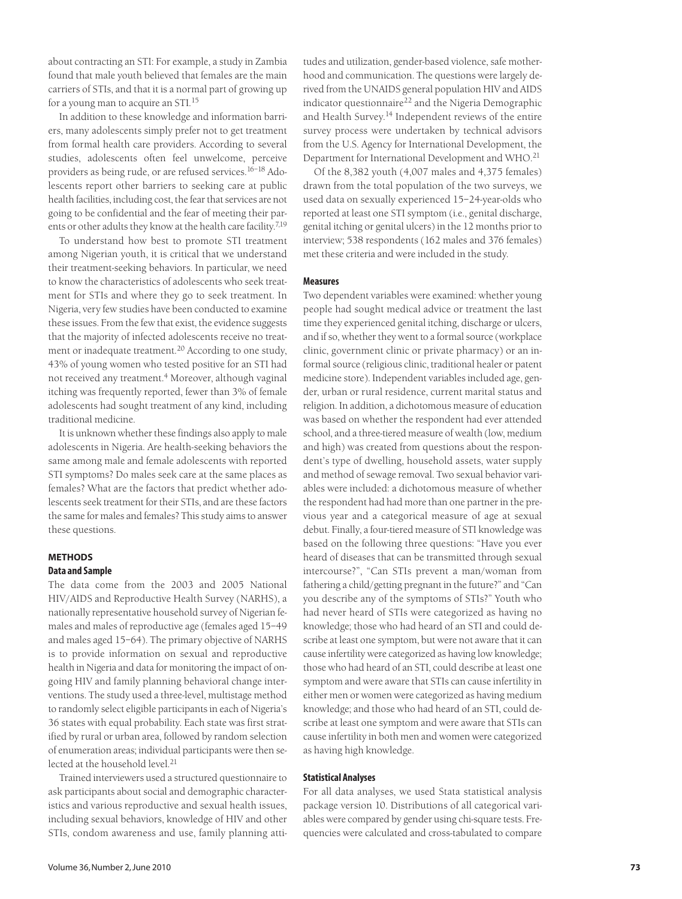about contracting an STI: For example, a study in Zambia found that male youth believed that females are the main carriers of STIs, and that it is a normal part of growing up for a young man to acquire an STI.15

In addition to these knowledge and information barriers, many adolescents simply prefer not to get treatment from formal health care providers. According to several studies, adolescents often feel unwelcome, perceive providers as being rude, or are refused services.16–18 Adolescents report other barriers to seeking care at public health facilities, including cost, the fear that services are not going to be confidential and the fear of meeting their parents or other adults they know at the health care facility.7,19

To understand how best to promote STI treatment among Nigerian youth, it is critical that we understand their treatment-seeking behaviors. In particular, we need to know the characteristics of adolescents who seek treatment for STIs and where they go to seek treatment. In Nigeria, very few studies have been conducted to examine these issues. From the few that exist, the evidence suggests that the majority of infected adolescents receive no treatment or inadequate treatment.<sup>20</sup> According to one study, 43% of young women who tested positive for an STI had not received any treatment.<sup>4</sup> Moreover, although vaginal itching was frequently reported, fewer than 3% of female adolescents had sought treatment of any kind, including traditional medicine.

It is unknown whether these findings also apply to male adolescents in Nigeria. Are health-seeking behaviors the same among male and female adolescents with reported STI symptoms? Do males seek care at the same places as females? What are the factors that predict whether adolescents seek treatment for their STIs, and are these factors the same for males and females? This study aims to answer these questions.

# **METHODS Data and Sample**

The data come from the 2003 and 2005 National HIV/AIDS and Reproductive Health Survey (NARHS), a nationally representative household survey of Nigerian females and males of reproductive age (females aged 15–49 and males aged 15–64). The primary objective of NARHS is to provide information on sexual and reproductive health in Nigeria and data for monitoring the impact of ongoing HIV and family planning behavioral change interventions. The study used a three-level, multistage method to randomly select eligible participants in each of Nigeria's 36 states with equal probability. Each state was first stratified by rural or urban area, followed by random selection of enumeration areas; individual participants were then selected at the household level.<sup>21</sup>

Trained interviewers used a structured questionnaire to ask participants about social and demographic characteristics and various reproductive and sexual health issues, including sexual behaviors, knowledge of HIV and other STIs, condom awareness and use, family planning attitudes and utilization, gender-based violence, safe motherhood and communication. The questions were largely derived from the UNAIDS general population HIV and AIDS indicator questionnaire<sup>22</sup> and the Nigeria Demographic and Health Survey.<sup>14</sup> Independent reviews of the entire survey process were undertaken by technical advisors from the U.S. Agency for International Development, the Department for International Development and WHO.21

Of the 8,382 youth (4,007 males and 4,375 females) drawn from the total population of the two surveys, we used data on sexually experienced 15–24-year-olds who reported at least one STI symptom (i.e., genital discharge, genital itching or genital ulcers) in the 12 months prior to interview; 538 respondents (162 males and 376 females) met these criteria and were included in the study.

#### **Measures**

Two dependent variables were examined: whether young people had sought medical advice or treatment the last time they experienced genital itching, discharge or ulcers, and if so, whether they went to a formal source (workplace clinic, government clinic or private pharmacy) or an informal source (religious clinic, traditional healer or patent medicine store). Independent variables included age, gender, urban or rural residence, current marital status and religion. In addition, a dichotomous measure of education was based on whether the respondent had ever attended school, and a three-tiered measure of wealth (low, medium and high) was created from questions about the respondent's type of dwelling, household assets, water supply and method of sewage removal. Two sexual behavior variables were included: a dichotomous measure of whether the respondent had had more than one partner in the previous year and a categorical measure of age at sexual debut. Finally, a four-tiered measure of STI knowledge was based on the following three questions: "Have you ever heard of diseases that can be transmitted through sexual intercourse?", "Can STIs prevent a man/woman from fathering a child/getting pregnant in the future?" and "Can you describe any of the symptoms of STIs?" Youth who had never heard of STIs were categorized as having no knowledge; those who had heard of an STI and could describe at least one symptom, but were not aware that it can cause infertility were categorized as having low knowledge; those who had heard of an STI, could describe at least one symptom and were aware that STIs can cause infertility in either men or women were categorized as having medium knowledge; and those who had heard of an STI, could describe at least one symptom and were aware that STIs can cause infertility in both men and women were categorized as having high knowledge.

#### **Statistical Analyses**

For all data analyses, we used Stata statistical analysis package version 10. Distributions of all categorical variables were compared by gender using chi-square tests. Frequencies were calculated and cross-tabulated to compare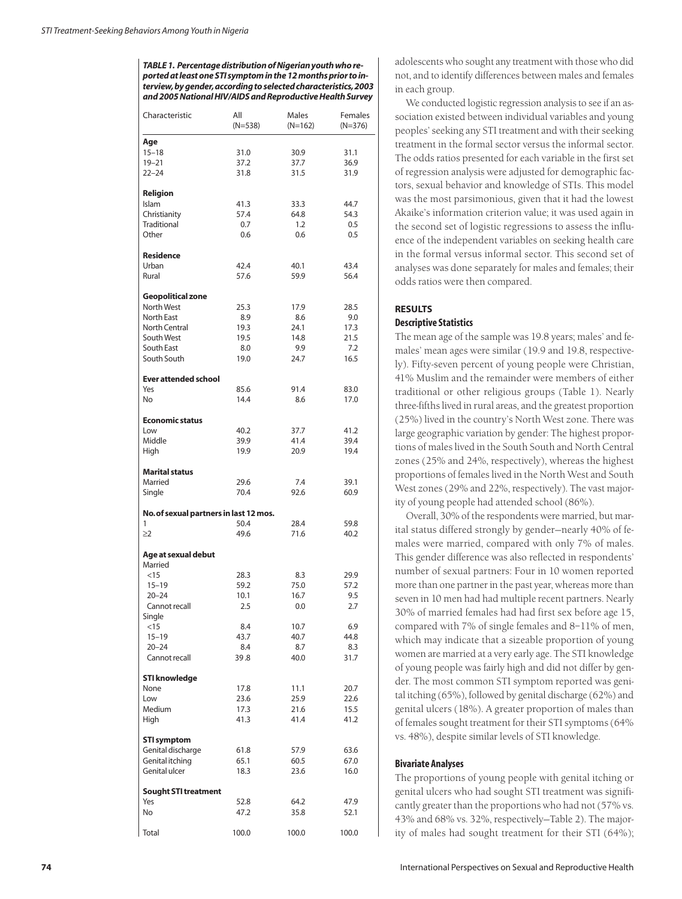*TABLE 1. Percentage distribution of Nigerian youth who reported at least one STI symptom in the 12 months prior to interview,by gender,according to selected characteristics,2003 and 2005 National HIV/AIDS and Reproductive Health Survey*

| Characteristic                         | All<br>$(N=538)$ | Males<br>$(N=162)$ | Females<br>$(N=376)$ |
|----------------------------------------|------------------|--------------------|----------------------|
| Age                                    |                  |                    |                      |
| $15 - 18$                              | 31.0             | 30.9               | 31.1                 |
| $19 - 21$                              | 37.2             | 37.7               | 36.9                 |
| $22 - 24$                              | 31.8             | 31.5               | 31.9                 |
| Religion                               |                  |                    |                      |
| Islam                                  | 41.3             | 33.3               | 44.7                 |
| Christianity                           | 57.4             | 64.8               | 54.3                 |
| Traditional                            | 0.7              | 1.2                | 0.5                  |
| Other                                  | 0.6              | 0.6                | 0.5                  |
| <b>Residence</b>                       |                  |                    |                      |
| Urban                                  | 42.4             | 40.1               | 43.4                 |
| Rural                                  | 57.6             | 59.9               | 56.4                 |
| Geopolitical zone                      |                  |                    |                      |
| North West                             | 25.3             | 17.9               | 28.5                 |
| North East<br><b>North Central</b>     | 8.9<br>19.3      | 8.6<br>24.1        | 9.0<br>17.3          |
| South West                             | 19.5             | 14.8               | 21.5                 |
| South East                             | 8.0              | 9.9                | 7.2                  |
| South South                            | 19.0             | 24.7               | 16.5                 |
| <b>Ever attended school</b>            |                  |                    |                      |
| Yes                                    | 85.6             | 91.4               | 83.0                 |
| No                                     | 14.4             | 8.6                | 17.0                 |
| <b>Economic status</b>                 |                  |                    |                      |
| Low                                    | 40.2             | 37.7               | 41.2                 |
| Middle                                 | 39.9             | 41.4               | 39.4                 |
| High                                   | 19.9             | 20.9               | 19.4                 |
| <b>Marital status</b>                  |                  |                    |                      |
| Married                                | 29.6             | 7.4                | 39.1                 |
| Single                                 | 70.4             | 92.6               | 60.9                 |
| No. of sexual partners in last 12 mos. |                  |                    |                      |
| 1                                      | 50.4             | 28.4               | 59.8                 |
| $\geq$ 2                               | 49.6             | 71.6               | 40.2                 |
| Age at sexual debut                    |                  |                    |                      |
| Married                                |                  |                    |                      |
| $<$ 15                                 | 28.3             | 8.3                | 29.9                 |
| $15 - 19$                              | 59.2             | 75.0               | 57.2                 |
| $20 - 24$                              | 10.1             | 16.7               | 9.5                  |
| Cannot recall                          | 2.5              | 0.0                | 2.7                  |
| Single                                 |                  |                    |                      |
| <15<br>$15 - 19$                       | 8.4<br>43.7      | 10.7<br>40.7       | 6.9<br>44.8          |
| $20 - 24$                              | 8.4              | 8.7                | 8.3                  |
| Cannot recall                          | 39.8             | 40.0               | 31.7                 |
| STI knowledge                          |                  |                    |                      |
| None                                   | 17.8             | 11.1               | 20.7                 |
| Low                                    | 23.6             | 25.9               | 22.6                 |
| Medium                                 | 17.3             | 21.6               | 15.5                 |
| High                                   | 41.3             | 41.4               | 41.2                 |
| <b>STI symptom</b>                     |                  |                    |                      |
| Genital discharge                      | 61.8             | 57.9               | 63.6                 |
| Genital itching                        | 65.1             | 60.5               | 67.0                 |
| Genital ulcer                          | 18.3             | 23.6               | 16.0                 |
| <b>Sought STI treatment</b>            |                  |                    |                      |
| Yes                                    | 52.8             | 64.2               | 47.9                 |
| No                                     | 47.2             | 35.8               | 52.1                 |
| Total                                  | 100.0            | 100.0              | 100.0                |

adolescents who sought any treatment with those who did not, and to identify differences between males and females in each group.

We conducted logistic regression analysis to see if an association existed between individual variables and young peoples' seeking any STI treatment and with their seeking treatment in the formal sector versus the informal sector. The odds ratios presented for each variable in the first set of regression analysis were adjusted for demographic factors, sexual behavior and knowledge of STIs. This model was the most parsimonious, given that it had the lowest Akaike's information criterion value; it was used again in the second set of logistic regressions to assess the influence of the independent variables on seeking health care in the formal versus informal sector. This second set of analyses was done separately for males and females; their odds ratios were then compared.

## **RESULTS**

# **Descriptive Statistics**

The mean age of the sample was 19.8 years; males' and females' mean ages were similar (19.9 and 19.8, respectively). Fifty-seven percent of young people were Christian, 41% Muslim and the remainder were members of either traditional or other religious groups (Table 1). Nearly three-fifths lived in rural areas, and the greatest proportion (25%) lived in the country's North West zone. There was large geographic variation by gender: The highest proportions of males lived in the South South and North Central zones (25% and 24%, respectively), whereas the highest proportions of females lived in the North West and South West zones (29% and 22%, respectively). The vast majority of young people had attended school (86%).

Overall, 30% of the respondents were married, but marital status differed strongly by gender—nearly 40% of females were married, compared with only 7% of males. This gender difference was also reflected in respondents' number of sexual partners: Four in 10 women reported more than one partner in the past year, whereas more than seven in 10 men had had multiple recent partners. Nearly 30% of married females had had first sex before age 15, compared with 7% of single females and 8–11% of men, which may indicate that a sizeable proportion of young women are married at a very early age. The STI knowledge of young people was fairly high and did not differ by gender. The most common STI symptom reported was genital itching (65%), followed by genital discharge (62%) and genital ulcers (18%). A greater proportion of males than of females sought treatment for their STI symptoms (64% vs. 48%), despite similar levels of STI knowledge.

# **Bivariate Analyses**

The proportions of young people with genital itching or genital ulcers who had sought STI treatment was significantly greater than the proportions who had not (57% vs. 43% and 68% vs. 32%, respectively—Table 2). The majority of males had sought treatment for their STI (64%);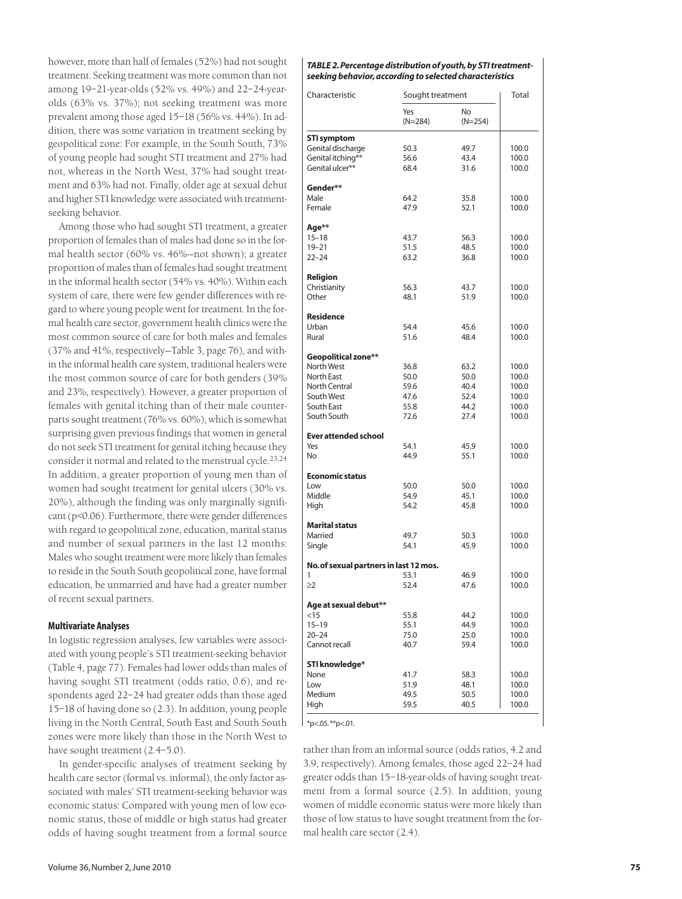however, more than half of females (52%) had not sought treatment. Seeking treatment was more common than not among 19–21-year-olds (52% vs. 49%) and 22–24-yearolds (63% vs. 37%); not seeking treatment was more prevalent among those aged 15–18 (56% vs. 44%). In addition, there was some variation in treatment seeking by geopolitical zone: For example, in the South South, 73% of young people had sought STI treatment and 27% had not, whereas in the North West, 37% had sought treatment and 63% had not. Finally, older age at sexual debut and higher STI knowledge were associated with treatmentseeking behavior.

Among those who had sought STI treatment, a greater proportion of females than of males had done so in the formal health sector (60% vs. 46%—not shown); a greater proportion of males than of females had sought treatment in the informal health sector (54% vs. 40%). Within each system of care, there were few gender differences with regard to where young people went for treatment. In the formal health care sector, government health clinics were the most common source of care for both males and females (37% and 41%, respectively—Table 3, page 76), and within the informal health care system, traditional healers were the most common source of care for both genders (39% and 23%, respectively). However, a greater proportion of females with genital itching than of their male counterparts sought treatment (76% vs. 60%), which is somewhat surprising given previous findings that women in general do not seek STI treatment for genital itching because they consider it normal and related to the menstrual cycle.23,24 In addition, a greater proportion of young men than of women had sought treatment for genital ulcers (30% vs. 20%), although the finding was only marginally significant (p<0.06). Furthermore, there were gender differences with regard to geopolitical zone, education, marital status and number of sexual partners in the last 12 months: Males who sought treatment were more likely than females to reside in the South South geopolitical zone, have formal education, be unmarried and have had a greater number of recent sexual partners.

#### **Multivariate Analyses**

In logistic regression analyses, few variables were associated with young people's STI treatment-seeking behavior (Table 4, page 77). Females had lower odds than males of having sought STI treatment (odds ratio, 0.6), and respondents aged 22–24 had greater odds than those aged 15–18 of having done so (2.3). In addition, young people living in the North Central, South East and South South zones were more likely than those in the North West to have sought treatment (2.4–5.0).

In gender-specific analyses of treatment seeking by health care sector (formal vs. informal), the only factor associated with males' STI treatment-seeking behavior was economic status: Compared with young men of low economic status, those of middle or high status had greater odds of having sought treatment from a formal source

#### *TABLE 2.Percentage distribution of youth, by STI treatmentseeking behavior, according to selected characteristics*

| Characteristic                         | Sought treatment |                        | Total          |  |  |
|----------------------------------------|------------------|------------------------|----------------|--|--|
|                                        | Yes<br>$(N=284)$ | <b>No</b><br>$(N=254)$ |                |  |  |
| <b>STI symptom</b>                     |                  |                        |                |  |  |
| Genital discharge                      | 50.3             | 49.7                   | 100.0          |  |  |
| Genital itching**                      | 56.6             | 43.4                   | 100.0          |  |  |
| Genital ulcer**                        | 68.4             | 31.6                   | 100.0          |  |  |
| Gender**                               |                  |                        |                |  |  |
| Male                                   | 64.2             | 35.8                   | 100.0          |  |  |
| Female                                 | 47.9             | 52.1                   | 100.0          |  |  |
|                                        |                  |                        |                |  |  |
| Age**                                  |                  |                        |                |  |  |
| $15 - 18$                              | 43.7             | 56.3                   | 100.0          |  |  |
| $19 - 21$                              | 51.5             | 48.5                   | 100.0          |  |  |
| $22 - 24$                              | 63.2             | 36.8                   | 100.0          |  |  |
| Religion                               |                  |                        |                |  |  |
| Christianity                           | 56.3             | 43.7                   | 100.0          |  |  |
| Other                                  | 48.1             | 51.9                   | 100.0          |  |  |
|                                        |                  |                        |                |  |  |
| <b>Residence</b><br>Urban              | 54.4             | 45.6                   | 100.0          |  |  |
| Rural                                  | 51.6             | 48.4                   | 100.0          |  |  |
|                                        |                  |                        |                |  |  |
| Geopolitical zone**                    |                  |                        |                |  |  |
| North West                             | 36.8             | 63.2                   | 100.0          |  |  |
| <b>North East</b>                      | 50.0             | 50.0                   | 100.0          |  |  |
| <b>North Central</b>                   | 59.6             | 40.4                   | 100.0          |  |  |
| South West                             | 47.6             | 52.4                   | 100.0          |  |  |
| South East                             | 55.8             | 44.2                   | 100.0          |  |  |
| South South                            | 72.6             | 27.4                   | 100.0          |  |  |
| <b>Ever attended school</b>            |                  |                        |                |  |  |
| Yes                                    | 54.1             | 45.9                   | 100.0          |  |  |
| No                                     | 44.9             | 55.1                   | 100.0          |  |  |
|                                        |                  |                        |                |  |  |
| <b>Economic status</b><br>Low          | 50.0             |                        |                |  |  |
| Middle                                 | 54.9             | 50.0<br>45.1           | 100.0<br>100.0 |  |  |
| High                                   | 54.2             | 45.8                   | 100.0          |  |  |
|                                        |                  |                        |                |  |  |
| <b>Marital status</b>                  |                  |                        |                |  |  |
| Married                                | 49.7             | 50.3                   | 100.0          |  |  |
| Single                                 | 54.1             | 45.9                   | 100.0          |  |  |
| No. of sexual partners in last 12 mos. |                  |                        |                |  |  |
| 1                                      | 53.1             | 46.9                   | 100.0          |  |  |
| $\geq$ 2                               | 52.4             | 47.6                   | 100.0          |  |  |
|                                        |                  |                        |                |  |  |
| Age at sexual debut**<br>$<$ 15        | 55.8             | 44.2                   | 100.0          |  |  |
| $15 - 19$                              | 55.1             | 44.9                   | 100.0          |  |  |
| $20 - 24$                              | 75.0             | 25.0                   | 100.0          |  |  |
| Cannot recall                          | 40.7             | 59.4                   | 100.0          |  |  |
|                                        |                  |                        |                |  |  |
| STI knowledge*                         |                  |                        |                |  |  |
| None                                   | 41.7             | 58.3                   | 100.0          |  |  |
| Low<br>Medium                          | 51.9             | 48.1                   | 100.0          |  |  |
| High                                   | 49.5<br>59.5     | 50.5<br>40.5           | 100.0          |  |  |
|                                        |                  |                        | 100.0          |  |  |

 $*_{p<.05.**p<.01}$ .

rather than from an informal source (odds ratios, 4.2 and 3.9, respectively). Among females, those aged 22–24 had greater odds than 15–18-year-olds of having sought treatment from a formal source (2.5). In addition, young women of middle economic status were more likely than those of low status to have sought treatment from the formal health care sector (2.4).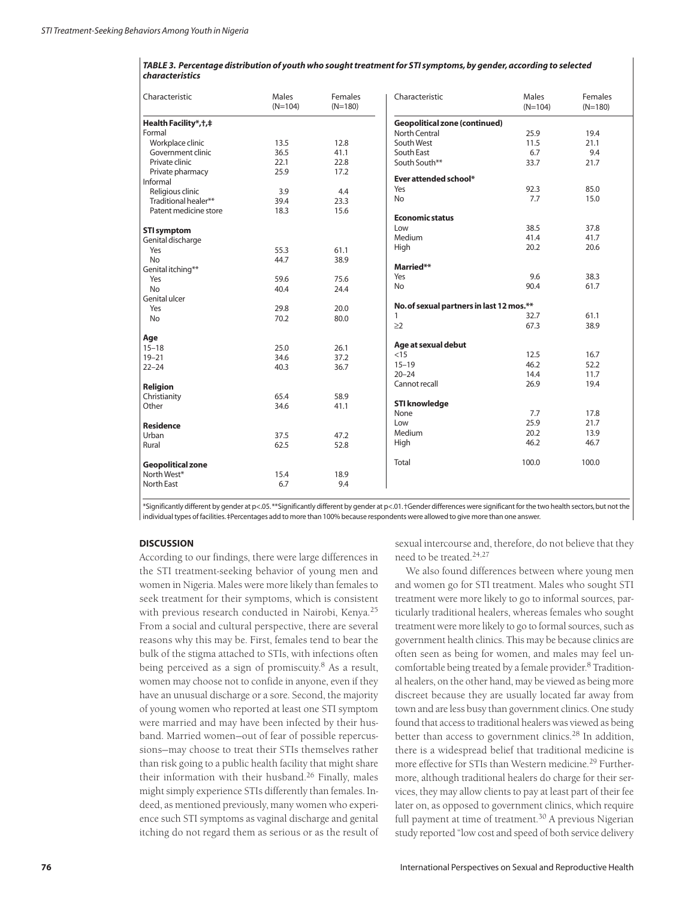| TABLE 3. Percentage distribution of youth who sought treatment for STI symptoms, by gender, according to selected |
|-------------------------------------------------------------------------------------------------------------------|
| <b>characteristics</b>                                                                                            |

| Characteristic           | Males<br>$(N=104)$ | Females<br>$(N=180)$ | Characteristic                           | Males<br>$(N=104)$ | Females<br>$(N=180)$ |
|--------------------------|--------------------|----------------------|------------------------------------------|--------------------|----------------------|
| Health Facility*, †, ‡   |                    |                      | <b>Geopolitical zone (continued)</b>     |                    |                      |
| Formal                   |                    |                      | North Central                            | 25.9               | 19.4                 |
| Workplace clinic         | 13.5               | 12.8                 | South West                               | 11.5               | 21.1                 |
| Government clinic        | 36.5               | 41.1                 | South East                               | 6.7                | 9.4                  |
| Private clinic           | 22.1               | 22.8                 | South South**                            | 33.7               | 21.7                 |
| Private pharmacy         | 25.9               | 17.2                 |                                          |                    |                      |
| Informal                 |                    |                      | Ever attended school*                    |                    |                      |
| Religious clinic         | 3.9                | 4.4                  | Yes                                      | 92.3               | 85.0                 |
| Traditional healer**     | 39.4               | 23.3                 | <b>No</b>                                | 7.7                | 15.0                 |
| Patent medicine store    | 18.3               | 15.6                 |                                          |                    |                      |
|                          |                    |                      | <b>Economic status</b>                   |                    |                      |
| <b>STI symptom</b>       |                    |                      | Low                                      | 38.5               | 37.8                 |
| Genital discharge        |                    |                      | Medium                                   | 41.4               | 41.7                 |
| Yes                      | 55.3               | 61.1                 | High                                     | 20.2               | 20.6                 |
| <b>No</b>                | 44.7               | 38.9                 |                                          |                    |                      |
| Genital itching**        |                    |                      | Married**                                |                    |                      |
| Yes                      | 59.6               | 75.6                 | Yes                                      | 9.6                | 38.3                 |
| <b>No</b>                | 40.4               | 24.4                 | <b>No</b>                                | 90.4               | 61.7                 |
| Genital ulcer            |                    |                      |                                          |                    |                      |
| Yes                      | 29.8               | 20.0                 | No. of sexual partners in last 12 mos.** |                    |                      |
| <b>No</b>                | 70.2               | 80.0                 | 1                                        | 32.7               | 61.1                 |
|                          |                    |                      | $\geq$ 2                                 | 67.3               | 38.9                 |
| Age                      |                    |                      |                                          |                    |                      |
| $15 - 18$                | 25.0               | 26.1                 | Age at sexual debut                      |                    |                      |
| $19 - 21$                | 34.6               | 37.2                 | <15                                      | 12.5               | 16.7                 |
| $22 - 24$                | 40.3               | 36.7                 | $15 - 19$                                | 46.2               | 52.2                 |
|                          |                    |                      | $20 - 24$                                | 14.4               | 11.7                 |
| Religion                 |                    |                      | Cannot recall                            | 26.9               | 19.4                 |
| Christianity             | 65.4               | 58.9                 |                                          |                    |                      |
| Other                    | 34.6               | 41.1                 | <b>STI knowledge</b>                     |                    |                      |
|                          |                    |                      | None                                     | 7.7                | 17.8                 |
| <b>Residence</b>         |                    |                      | Low                                      | 25.9               | 21.7                 |
| Urban                    | 37.5               | 47.2                 | Medium                                   | 20.2               | 13.9                 |
| Rural                    | 62.5               | 52.8                 | High                                     | 46.2               | 46.7                 |
| <b>Geopolitical zone</b> |                    |                      | Total                                    | 100.0              | 100.0                |
| North West*              | 15.4               | 18.9                 |                                          |                    |                      |
| North East               | 6.7                | 9.4                  |                                          |                    |                      |
|                          |                    |                      |                                          |                    |                      |

\*Significantly different by gender at p<.05.\*\*Significantly different by gender at p<.01.†Gender differences were significant for the two health sectors,but not the individual types of facilities.‡Percentages add to more than 100% because respondents were allowed to give more than one answer.

## **DISCUSSION**

According to our findings, there were large differences in the STI treatment-seeking behavior of young men and women in Nigeria. Males were more likely than females to seek treatment for their symptoms, which is consistent with previous research conducted in Nairobi, Kenya.<sup>25</sup> From a social and cultural perspective, there are several reasons why this may be. First, females tend to bear the bulk of the stigma attached to STIs, with infections often being perceived as a sign of promiscuity.<sup>8</sup> As a result, women may choose not to confide in anyone, even if they have an unusual discharge or a sore. Second, the majority of young women who reported at least one STI symptom were married and may have been infected by their husband. Married women—out of fear of possible repercussions—may choose to treat their STIs themselves rather than risk going to a public health facility that might share their information with their husband.<sup>26</sup> Finally, males might simply experience STIs differently than females. Indeed, as mentioned previously, many women who experience such STI symptoms as vaginal discharge and genital itching do not regard them as serious or as the result of sexual intercourse and, therefore, do not believe that they need to be treated.24,27

We also found differences between where young men and women go for STI treatment. Males who sought STI treatment were more likely to go to informal sources, particularly traditional healers, whereas females who sought treatment were more likely to go to formal sources, such as government health clinics. This may be because clinics are often seen as being for women, and males may feel uncomfortable being treated by a female provider.<sup>8</sup> Traditional healers, on the other hand, may be viewed as being more discreet because they are usually located far away from town and are less busy than government clinics. One study found that access to traditional healers was viewed as being better than access to government clinics.<sup>28</sup> In addition, there is a widespread belief that traditional medicine is more effective for STIs than Western medicine.<sup>29</sup> Furthermore, although traditional healers do charge for their services, they may allow clients to pay at least part of their fee later on, as opposed to government clinics, which require full payment at time of treatment.<sup>30</sup> A previous Nigerian study reported "low cost and speed of both service delivery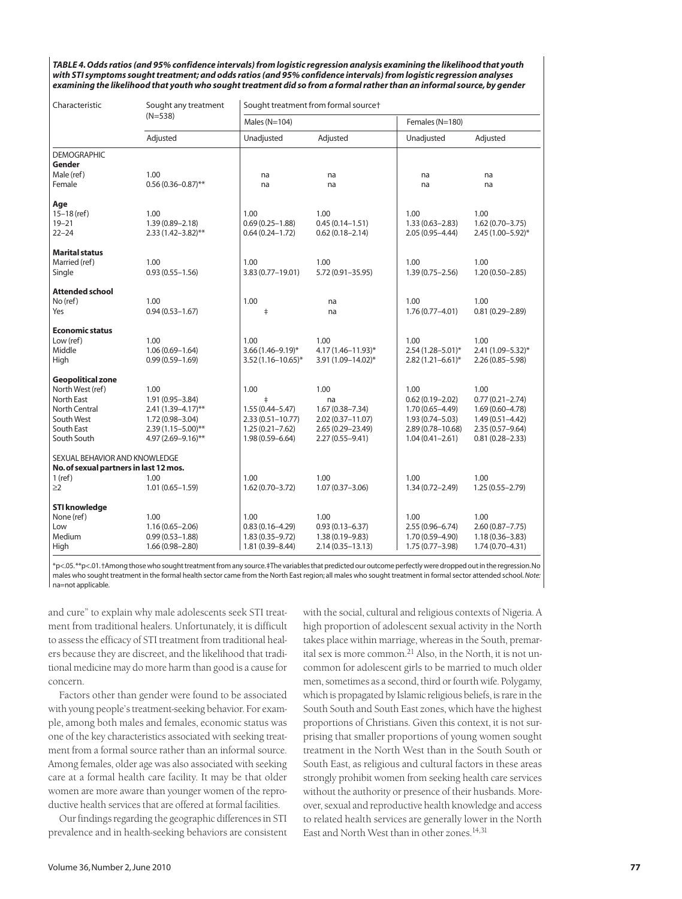*TABLE 4. Odds ratios (and 95% confidence intervals) from logistic regression analysis examining the likelihood that youth with STI symptoms sought treatment; and odds ratios (and 95% confidence intervals) from logistic regression analyses examining the likelihood that youth who sought treatment did so from a formal rather than an informal source, by gender*

| Characteristic                         | Sought any treatment   | Sought treatment from formal source† |                      |                         |                     |
|----------------------------------------|------------------------|--------------------------------------|----------------------|-------------------------|---------------------|
|                                        | $(N=538)$              | Males ( $N=104$ )                    |                      | Females (N=180)         |                     |
|                                        | Adjusted               | Unadjusted                           | Adjusted             | Unadjusted              | Adjusted            |
| <b>DEMOGRAPHIC</b>                     |                        |                                      |                      |                         |                     |
| Gender                                 |                        |                                      |                      |                         |                     |
| Male (ref)                             | 1.00                   | na                                   | na                   | na                      | na                  |
| Female                                 | $0.56(0.36 - 0.87)$ ** | na                                   | na                   | na                      | na                  |
| Age                                    |                        |                                      |                      |                         |                     |
| $15-18$ (ref)                          | 1.00                   | 1.00                                 | 1.00                 | 1.00                    | 1.00                |
| $19 - 21$                              | $1.39(0.89 - 2.18)$    | $0.69(0.25 - 1.88)$                  | $0.45(0.14 - 1.51)$  | $1.33(0.63 - 2.83)$     | $1.62(0.70 - 3.75)$ |
| $22 - 24$                              | $2.33(1.42 - 3.82)$ ** | $0.64(0.24 - 1.72)$                  | $0.62(0.18 - 2.14)$  | $2.05(0.95 - 4.44)$     | 2.45 (1.00-5.92)*   |
| <b>Marital status</b>                  |                        |                                      |                      |                         |                     |
| Married (ref)                          | 1.00                   | 1.00                                 | 1.00                 | 1.00                    | 1.00                |
| Single                                 | $0.93(0.55 - 1.56)$    | 3.83 (0.77-19.01)                    | 5.72 (0.91-35.95)    | $1.39(0.75 - 2.56)$     | $1.20(0.50 - 2.85)$ |
| <b>Attended school</b>                 |                        |                                      |                      |                         |                     |
| No (ref)                               | 1.00                   | 1.00                                 | na                   | 1.00                    | 1.00                |
| Yes                                    | $0.94(0.53 - 1.67)$    | $\ddagger$                           | na                   | $1.76(0.77 - 4.01)$     | $0.81(0.29 - 2.89)$ |
| <b>Economic status</b>                 |                        |                                      |                      |                         |                     |
| Low (ref)                              | 1.00                   | 1.00                                 | 1.00                 | 1.00                    | 1.00                |
| Middle                                 | $1.06(0.69 - 1.64)$    | $3.66(1.46 - 9.19)^*$                | 4.17 (1.46-11.93)*   | $2.54(1.28 - 5.01)^{*}$ | 2.41 (1.09-5.32)*   |
| High                                   | $0.99(0.59 - 1.69)$    | $3.52(1.16 - 10.65)^*$               | 3.91 (1.09-14.02)*   | $2.82(1.21 - 6.61)^{*}$ | $2.26(0.85 - 5.98)$ |
| <b>Geopolitical zone</b>               |                        |                                      |                      |                         |                     |
| North West (ref)                       | 1.00                   | 1.00                                 | 1.00                 | 1.00                    | 1.00                |
| North East                             | 1.91 (0.95-3.84)       | $\ddagger$                           | na                   | $0.62(0.19 - 2.02)$     | $0.77(0.21 - 2.74)$ |
| <b>North Central</b>                   | $2.41(1.39 - 4.17)$ ** | $1.55(0.44 - 5.47)$                  | $1.67(0.38 - 7.34)$  | $1.70(0.65 - 4.49)$     | $1.69(0.60 - 4.78)$ |
| South West                             | 1.72 (0.98-3.04)       | $2.33(0.51 - 10.77)$                 | $2.02(0.37 - 11.07)$ | $1.93(0.74 - 5.03)$     | $1.49(0.51 - 4.42)$ |
| South East                             | $2.39(1.15 - 5.00)$ ** | $1.25(0.21 - 7.62)$                  | 2.65 (0.29-23.49)    | $2.89(0.78 - 10.68)$    | $2.35(0.57 - 9.64)$ |
| South South                            | 4.97 (2.69-9.16)**     | $1.98(0.59 - 6.64)$                  | $2.27(0.55 - 9.41)$  | $1.04(0.41 - 2.61)$     | $0.81(0.28 - 2.33)$ |
| SEXUAL BEHAVIOR AND KNOWLEDGE          |                        |                                      |                      |                         |                     |
| No. of sexual partners in last 12 mos. |                        |                                      |                      |                         |                     |
| $1$ (ref)                              | 1.00                   | 1.00                                 | 1.00                 | 1.00                    | 1.00                |
| $\geq$ 2                               | $1.01(0.65 - 1.59)$    | $1.62(0.70 - 3.72)$                  | $1.07(0.37 - 3.06)$  | $1.34(0.72 - 2.49)$     | $1.25(0.55 - 2.79)$ |
| <b>STI knowledge</b>                   |                        |                                      |                      |                         |                     |
| None (ref)                             | 1.00                   | 1.00                                 | 1.00                 | 1.00                    | 1.00                |
| Low                                    | $1.16(0.65 - 2.06)$    | $0.83(0.16 - 4.29)$                  | $0.93(0.13 - 6.37)$  | $2.55(0.96 - 6.74)$     | $2.60(0.87 - 7.75)$ |
| Medium                                 | $0.99(0.53 - 1.88)$    | $1.83(0.35 - 9.72)$                  | $1.38(0.19 - 9.83)$  | 1.70 (0.59-4.90)        | $1.18(0.36 - 3.83)$ |
| High                                   | $1.66(0.98 - 2.80)$    | $1.81(0.39 - 8.44)$                  | 2.14 (0.35 - 13.13)  | $1.75(0.77 - 3.98)$     | $1.74(0.70 - 4.31)$ |
|                                        |                        |                                      |                      |                         |                     |

\*p<.05.\*\*p<.01.†Among those who sought treatment from any source.‡The variables that predicted our outcome perfectly were dropped out in the regression.No males who sought treatment in the formal health sector came from the North East region; all males who sought treatment in formal sector attended school.*Note:* na=not applicable.

and cure" to explain why male adolescents seek STI treatment from traditional healers. Unfortunately, it is difficult to assess the efficacy of STI treatment from traditional healers because they are discreet, and the likelihood that traditional medicine may do more harm than good is a cause for concern.

Factors other than gender were found to be associated with young people's treatment-seeking behavior. For example, among both males and females, economic status was one of the key characteristics associated with seeking treatment from a formal source rather than an informal source. Among females, older age was also associated with seeking care at a formal health care facility. It may be that older women are more aware than younger women of the reproductive health services that are offered at formal facilities.

Our findings regarding the geographic differences in STI prevalence and in health-seeking behaviors are consistent

with the social, cultural and religious contexts of Nigeria. A high proportion of adolescent sexual activity in the North takes place within marriage, whereas in the South, premarital sex is more common. $^{21}$  Also, in the North, it is not uncommon for adolescent girls to be married to much older men, sometimes as a second, third or fourth wife. Polygamy, which is propagated by Islamic religious beliefs, is rare in the South South and South East zones, which have the highest proportions of Christians. Given this context, it is not surprising that smaller proportions of young women sought treatment in the North West than in the South South or South East, as religious and cultural factors in these areas strongly prohibit women from seeking health care services without the authority or presence of their husbands. Moreover, sexual and reproductive health knowledge and access to related health services are generally lower in the North East and North West than in other zones.14,31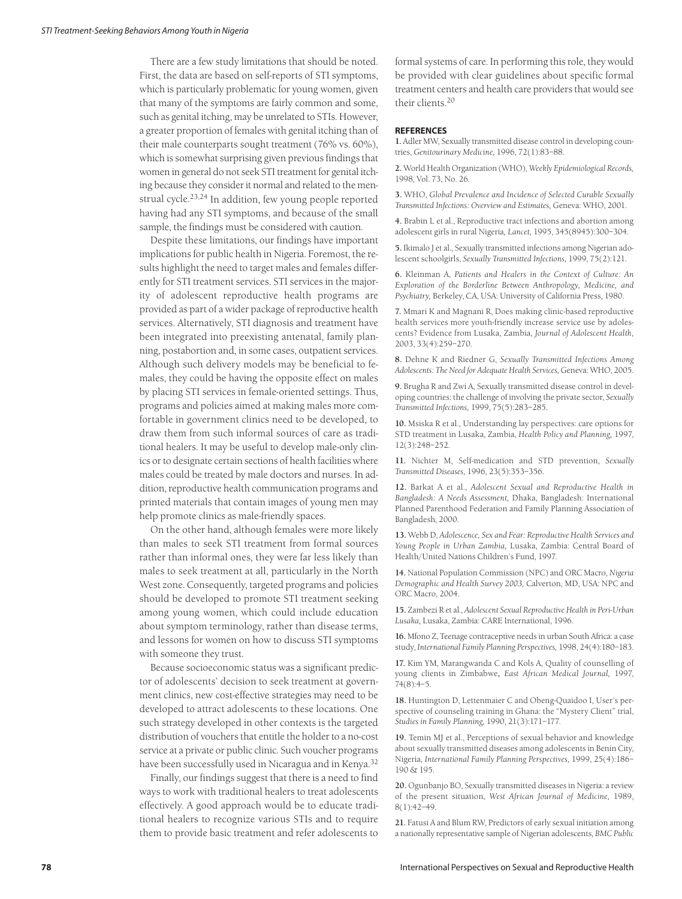There are a few study limitations that should be noted. First, the data are based on self-reports of STI symptoms, which is particularly problematic for young women, given that many of the symptoms are fairly common and some, such as genital itching, may be unrelated to STIs. However, a greater proportion of females with genital itching than of their male counterparts sought treatment (76% vs. 60%), which is somewhat surprising given previous findings that women in general do not seek STI treatment for genital itching because they consider it normal and related to the menstrual cycle.23,24 In addition, few young people reported having had any STI symptoms, and because of the small sample, the findings must be considered with caution.

Despite these limitations, our findings have important implications for public health in Nigeria. Foremost, the results highlight the need to target males and females differently for STI treatment services. STI services in the majority of adolescent reproductive health programs are provided as part of a wider package of reproductive health services. Alternatively, STI diagnosis and treatment have been integrated into preexisting antenatal, family planning, postabortion and, in some cases, outpatient services. Although such delivery models may be beneficial to females, they could be having the opposite effect on males by placing STI services in female-oriented settings. Thus, programs and policies aimed at making males more comfortable in government clinics need to be developed, to draw them from such informal sources of care as traditional healers. It may be useful to develop male-only clinics or to designate certain sections of health facilities where males could be treated by male doctors and nurses. In addition, reproductive health communication programs and printed materials that contain images of young men may help promote clinics as male-friendly spaces.

On the other hand, although females were more likely than males to seek STI treatment from formal sources rather than informal ones, they were far less likely than males to seek treatment at all, particularly in the North West zone. Consequently, targeted programs and policies should be developed to promote STI treatment seeking among young women, which could include education about symptom terminology, rather than disease terms, and lessons for women on how to discuss STI symptoms with someone they trust.

Because socioeconomic status was a significant predictor of adolescents' decision to seek treatment at government clinics, new cost-effective strategies may need to be developed to attract adolescents to these locations. One such strategy developed in other contexts is the targeted distribution of vouchers that entitle the holder to a no-cost service at a private or public clinic. Such voucher programs have been successfully used in Nicaragua and in Kenya.32

Finally, our findings suggest that there is a need to find ways to work with traditional healers to treat adolescents effectively. A good approach would be to educate traditional healers to recognize various STIs and to require them to provide basic treatment and refer adolescents to formal systems of care. In performing this role, they would be provided with clear guidelines about specific formal treatment centers and health care providers that would see their clients.20

#### **REFERENCES**

**1.** Adler MW, Sexually transmitted disease control in developing countries, *Genitourinary Medicine,* 1996, 72(1):83–88.

**2.** World Health Organization (WHO), *Weekly Epidemiological Records,* 1998, Vol. 73, No. 26.

**3.** WHO, *Global Prevalence and Incidence of Selected Curable Sexually Transmitted Infections: Overview and Estimates,* Geneva: WHO, 2001.

**4.** Brabin L et al., Reproductive tract infections and abortion among adolescent girls in rural Nigeria*, Lancet,* 1995, 345(8945):300–304.

**5.** Ikimalo J et al., Sexually transmitted infections among Nigerian adolescent schoolgirls, *Sexually Transmitted Infections,* 1999, 75(2):121.

**6.** Kleinman A, *Patients and Healers in the Context of Culture: An Exploration of the Borderline Between Anthropology, Medicine, and Psychiatry,* Berkeley, CA, USA: University of California Press, 1980.

**7.** Mmari K and Magnani R, Does making clinic-based reproductive health services more youth-friendly increase service use by adolescents? Evidence from Lusaka, Zambia, *Journal of Adolescent Health,* 2003, 33(4):259–270.

**8.** Dehne K and Riedner G, *Sexually Transmitted Infections Among Adolescents: The Need for Adequate Health Services,* Geneva: WHO, 2005.

**9.** Brugha R and Zwi A, Sexually transmitted disease control in developing countries: the challenge of involving the private sector, *Sexually Transmitted Infections,* 1999, 75(5):283–285.

**10.** Msiska R et al., Understanding lay perspectives: care options for STD treatment in Lusaka, Zambia, *Health Policy and Planning,* 1997, 12(3):248–252.

**11.** Nichter M, Self-medication and STD prevention, *Sexually Transmitted Diseases,* 1996, 23(5):353–356.

**12.** Barkat A et al., *Adolescent Sexual and Reproductive Health in Bangladesh: A Needs Assessment,* Dhaka, Bangladesh: International Planned Parenthood Federation and Family Planning Association of Bangladesh, 2000.

**13.** Webb D, *Adolescence, Sex and Fear: Reproductive Health Services and Young People in Urban Zambia,* Lusaka, Zambia: Central Board of Health/United Nations Children's Fund, 1997.

**14.** National Population Commission (NPC) and ORC Macro, *Nigeria Demographic and Health Survey 2003,* Calverton, MD, USA: NPC and ORC Macro, 2004.

**15.** Zambezi R et al., *Adolescent Sexual Reproductive Health in Peri-Urban Lusaka,* Lusaka, Zambia: CARE International, 1996.

**16.** Mfono Z, Teenage contraceptive needs in urban South Africa: a case study, *International Family Planning Perspectives,* 1998, 24(4):180–183.

**17.** Kim YM, Marangwanda C and Kols A, Quality of counselling of young clients in Zimbabwe**,** *East African Medical Journal,* 1997, 74(8):4–5.

**18.** Huntington D, Lettenmaier C and Obeng-Quaidoo I, User's perspective of counseling training in Ghana: the "Mystery Client" trial, *Studies in Family Planning,* 1990, 21(3):171–177.

**19.** Temin MJ et al., Perceptions of sexual behavior and knowledge about sexually transmitted diseases among adolescents in Benin City, Nigeria, *International Family Planning Perspectives,* 1999, 25(4):186– 190 & 195.

**20.** Ogunbanjo BO, Sexually transmitted diseases in Nigeria: a review of the present situation, *West African Journal of Medicine,* 1989, 8(1):42–49.

**21.** Fatusi A and Blum RW, Predictors of early sexual initiation among a nationally representative sample of Nigerian adolescents, *BMC Public*